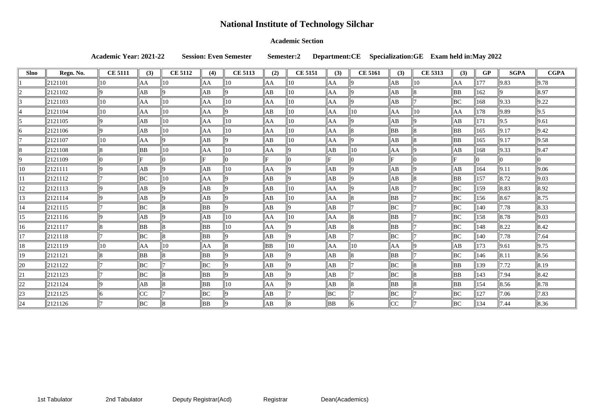### **Academic Section**

**Academic Year: 2021-22 Session: Even Semester Semester:2 Department:CE Specialization:GE Exam held in:May 2022**

| <b>Slno</b>  | Regn. No. | <b>CE 5111</b> | (3) | <b>CE 5112</b> | (4) | <b>CE 5113</b> | (2)       | <b>CE 5151</b> | (3) | <b>CE 5161</b> | (3) | <b>CE 5313</b> | (3)            | <b>GP</b>     | <b>SGPA</b>        | <b>CGPA</b>    |
|--------------|-----------|----------------|-----|----------------|-----|----------------|-----------|----------------|-----|----------------|-----|----------------|----------------|---------------|--------------------|----------------|
|              | 2121101   | $ 10\rangle$   | AA  | 10             | AA  | 10             | AA        | 10             | AA  |                | AB  | $ 10\rangle$   | AA             | 177           | 9.83               | 9.78           |
|              | 2121102   |                | AВ  |                | AB  |                | АB        | 10             | AA  |                | AB  |                | BB             | 162           |                    | 8.97           |
|              | 2121103   | $ 10\rangle$   | AA  | 10             | ΙAΑ | 10             | AA        | 10             | AA  |                | AB  |                | BC             | 168           | 9.33               | 9.22           |
|              | 2121104   | $ 10\rangle$   | AA  | 10             | AA  |                | AB        | 10             | AA  | 10             | AA  | $ 10\rangle$   | AA             | 178           | 9.89               | 9.5            |
|              | 2121105   |                | АB  | 10             | AA  | 10             | AA        | 10             | AA  |                | AB  |                | ΙAΒ            | 171           | 9.5                | 9.61           |
|              | 2121106   |                | AВ  | 10             | AA  | 10             | AA        | 10             | AA  |                | BB  |                | BB             | 165           | $\vert 9.17$       | 9.42           |
|              | 2121107   | 10             | AA  |                | AB  |                | AB        | 10             | AA  |                | AB  |                | BB             | 165           | $\vert 9.17$       | 9.58           |
|              | 2121108   |                | ΒB  | 10             | AA  | 10             | AA        |                | AB  | 10             | AA  |                | AB             | 168           | 9.33               | 9.47           |
|              | 2121109   |                | F.  |                |     |                |           |                |     |                | l E |                | F              |               |                    |                |
| $ 10\rangle$ | 2121111   |                | AВ  |                | AB  | 10             | AA        |                | AB  |                | AB  |                | ΙAΒ            | 164           | $\vert 9.11 \vert$ | 9.06           |
| 11           | 2121112   |                | BC  | 10             | ΙAΑ | הו             | AB        |                | AB  |                | AB  |                | <b>BB</b>      | 157           | 8.72               | 9.03           |
| 12           | 2121113   |                | AВ  |                | AB  |                | AB        | 10             | AA  |                | AB  |                | BC             | $ 159\rangle$ | 8.83               | $ 8.92\rangle$ |
| 13           | 2121114   |                | AВ  | n              | ΙAΒ | $\Omega$       | AB        | 10             | AA  |                | BB  |                | BC             | 156           | $\ 8.67$           | 8.75           |
| 14           | 2121115   |                | BC  |                | BB  |                | AB        |                | AB  |                | BC  |                | BC             | 140           | $\ 7.78$           | $ 8.33\rangle$ |
| 15           | 2121116   |                | AB  |                | ΙAΒ | 10             | AA        | 10             | AA  |                | BB  |                | BC             | 158           | $\ 8.78$           | 9.03           |
| 16           | 2121117   |                | BB  |                | ΒB  | 10             | AA        |                | AB  |                | BB  |                | BC             | 148           | $\ 8.22\ $         | 8.42           |
| 17           | 2121118   |                | ΙВC | 18             | BB  | Q              | AB        |                | AB  |                | BC  |                | BC             | 140           | $\  7.78$          | 7.64           |
| 18           | 2121119   | $ 10\rangle$   | AA  | 10             | lАА | 8              | <b>BB</b> | 10             | AA  | 10             | AA  |                | lАB            | 173           | $\ 9.61$           | 9.75           |
| 19           | 2121121   |                | BB  | l8             | BB  |                | AB        |                | AB  |                | BB  |                | BC             | 146           | $\ 8.11$           | 8.56           |
| 20           | 2121122   |                | BС  |                | BС  |                | AB        |                | AB  |                | BC  |                | <b>BB</b>      | 139           | $\ 7.72$           | 8.19           |
| 21           | 2121123   |                | BC  | 18             | BB  |                | AB        |                | ∣АВ |                | BC  |                | BB             | $\vert$ 143   | 7.94               | $ 8.42\rangle$ |
| 22           | 2121124   |                | ΙAΒ |                | BB  | 10             | AA        |                | ∣АВ |                | BB  |                | $\parallel$ BB | 154           | $\ 8.56\ $         | 8.78           |
| 23           | 2121125   |                | CC  |                | BС  |                | АB        |                | BC  |                | BC  |                | BC             | 127           | $\ 7.06$           | 7.83           |
| 24           | 2121126   |                | BC  |                | ΒB  |                | AB        |                | BB  |                | CC  |                | BC             | 134           | $\  7.44$          | 8.36           |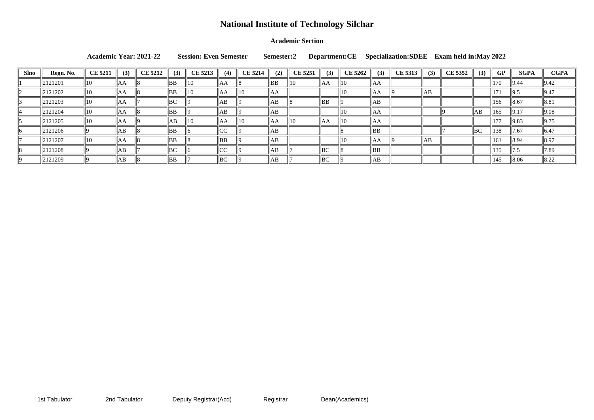### **Academic Section**

**Academic Year: 2021-22 Session: Even Semester Semester:2 Department:CE Specialization:SDEE Exam held in:May 2022**

| <b>Slno</b> | Regn. No. | <b>CE 5211</b> | (3) | <b>CE 5212</b> | (3)            | <b>CE 5213</b> | (4)                               | <b>CE 5214</b> | (2)       | <b>CE 5251</b> | (3)            | <b>CE 5262</b> | (3)              | <b>CE 5313</b> | (3) | <b>CE 5352</b> | (3) | GP              | <b>SGPA</b>     | <b>CGPA</b>        |
|-------------|-----------|----------------|-----|----------------|----------------|----------------|-----------------------------------|----------------|-----------|----------------|----------------|----------------|------------------|----------------|-----|----------------|-----|-----------------|-----------------|--------------------|
|             | 2121201   |                | ЮA  |                | BB             | 10             | ∥AA                               |                | <b>BB</b> |                | $\parallel$ AA | 10             | AΑ               |                |     |                |     | $\parallel$ 170 | 9.44            | $\vert 9.42 \vert$ |
|             | 2121202   | 1 V            | IAA |                | BB             | 10             | ∥AA                               | $ 10\rangle$   | AA        |                |                | 10             | AΑ               |                | AB  |                |     | $\ 171$         | $\parallel$ 9.5 | 9.47               |
|             | 2121203   | ПU             | ЮA  |                | BC             |                | AB                                |                | AB        |                | BB             |                | AΒ               |                |     |                |     | $\parallel$ 156 | 8.67            | 8.81               |
|             | 2121204   |                | ЮA  |                | BB             |                | AB                                |                | AB        |                |                | 10             | ΑA               |                |     |                | AB  | 165             | $\vert$  9.17   | 9.08               |
|             | 2121205   | 1 U            | ЮA  |                | AB             | 10             | llAA                              | 10             | lАА       |                | AA             | $\parallel$ 10 | ∣AA              |                |     |                |     | 177             | $\vert 9.83$    | $\vert 9.75 \vert$ |
|             | 2121206   |                | AB  |                | BB             |                | $\mathsf{I}\cap\mathsf{A}$<br>⊪∪∪ |                | AB        |                |                |                | BB               |                |     |                | BC  | $\parallel$ 138 | 7.67            | $\parallel$ 6.47   |
|             | 2121207   |                | IАA |                | BB             |                | BB                                |                | lАB       |                |                | 10             | <b>A</b> A<br>AΑ |                | AB  |                |     | $\parallel$ 161 | $\ 8.94$        | $\ 8.97\ $         |
|             | 2121208   |                | AB  |                | $\parallel$ BC |                | $\overline{\phantom{a}}$<br>⊪∪∪   |                | AB        |                | BC             |                | BB               |                |     |                |     | 135             |                 | $\ 7.89$           |
|             | 2121209   |                | AB  |                | BB             |                | BC                                |                | AB        |                | BC             |                | AΒ               |                |     |                |     | $\ 145$         |                 | $\ 8.22$           |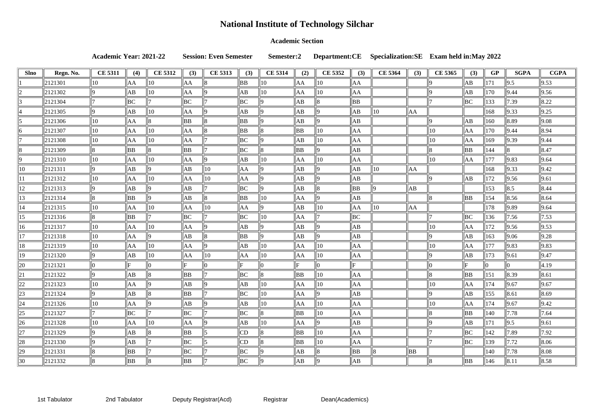### **Academic Section**

**Academic Year: 2021-22 Session: Even Semester Semester:2 Department:CE Specialization:SE Exam held in:May 2022**

| <b>Slno</b>    | Regn. No.           | <b>CE 5311</b> | (4)            | <b>CE 5312</b> | (3)            | <b>CE 5313</b> | (3)            | <b>CE 5314</b> | (2)            | <b>CE 5352</b> | (3)            | <b>CE 5364</b> | (3) | <b>CE 5365</b> | (3) | <b>GP</b> | <b>SGPA</b>    | <b>CGPA</b>        |
|----------------|---------------------|----------------|----------------|----------------|----------------|----------------|----------------|----------------|----------------|----------------|----------------|----------------|-----|----------------|-----|-----------|----------------|--------------------|
|                | 2121301             | $ 10\rangle$   | AA             | 10             | AA             |                | BB             | 10             | AA             | 10             | AA             |                |     |                | ΙAΒ | 171       | 9.5            | $\vert 9.53 \vert$ |
|                | 2121302             |                | AB             | 10             | AA             |                | AB             | 10             | AA             | 10             | AA             |                |     |                | AB  | 170       | 9.44           | $\vert$ 9.56       |
|                | 2121304             |                | BC             |                | BC             |                | BC             |                | AB             |                | BB             |                |     |                | BC  | 133       | 7.39           | 8.22               |
|                | 2121305             |                | AB             | 10             | AA             |                | AB             |                | AB             |                | AB             | 10             | AA  |                |     | 168       | 9.33           | $\vert 9.25 \vert$ |
|                | 2121306             | $\parallel$ 10 | AA             |                | BB             |                | <b>BB</b>      |                | AB             |                | AB             |                |     |                | AB  | 160       | 8.89           | 9.08               |
| Ih             | 2121307             | $ 10\rangle$   | AA             | 10             | AA             |                | <b>BB</b>      |                | <b>BB</b>      | 10             | AA             |                |     | 10             | AA  | 170       | 9.44           | 8.94               |
|                | 2121308             | 10             | ∥AA            | 10             | AA             |                | BC             |                | AB             | 10             | AA             |                |     | 10             | AA  | 169       | 9.39           | 9.44               |
|                | 2121309             |                | <b>BB</b>      |                | <b>BB</b>      |                | BC             |                | <b>BB</b>      |                | AB             |                |     |                | BB  | 144       |                | 8.47               |
| 19.            | 2121310             | $\parallel$ 10 | AA             | $ 10\rangle$   | AA             |                | AB             | 10             | AA             | 10             | AA             |                |     | 10             | AA  | 177       | 9.83           | $\ 9.64$           |
| $ 10\rangle$   | 2121311             | IQ.            | AB             |                | AB             | 10             | AA             |                | AB             |                | AB             | 10             | AA  |                |     | 168       | 9.33           | $\vert$ 9.42       |
|                | 2121312             | $\parallel$ 10 | AA             | 10             | AA             | 10             | AA             |                | AB             |                | AB             |                |     |                | AB  | 172       | 9.56           | 9.61               |
| 12             | 2121313             |                | AB             |                | AB             |                | BC             |                | AB             |                | <b>BB</b>      |                | ΙAΒ |                |     | 153       | 8.5            | 8.44               |
| 13             | 2121314             |                | <b>BB</b>      |                | AB             |                | <b>BB</b>      | 10             | AA             |                | АB             |                |     |                | BB  | 154       | 8.56           | $\ 8.64$           |
| 14             | 2121315             | $\parallel$ 10 | ∥AA            | 10             | AA             | 10             | AA             |                | AB             | 10             | AA             | 10             | AA  |                |     | 178       | 9.89           | $\ 9.64$           |
| 15             | 2121316             |                | BB             |                | $\parallel$ BC |                | BC             | 10             | AA             |                | BC             |                |     |                | BC  | 136       | 7.56           | 7.53               |
| 16             | 2121317             | 10             | ∥AA            | 10             | AA             |                | AB             |                | AB             |                | AB             |                |     | 1 C            | AA  | 172       | 9.56           | $\vert$ 9.53       |
| 17             | 2121318             | 10             | AA             |                | ΙAΒ            |                | <b>BB</b>      |                | AB             |                | AB             |                |     |                | AB  | 163       | 9.06           | 9.28               |
| 18             | 2121319             | $\parallel$ 10 | AA             | 10             | AA             |                | AB             | 10             | AA             | 10             | AA             |                |     | 10             | AA  | 177       | 9.83           | $\vert$ 9.83       |
| 19             | 2121320             | ΙO             | AB             | 10             | AA             | 10             | AA             | 10             | AA             | 10             | AA             |                |     |                | AB  | 173       | 9.61           | 9.47               |
| 20             | 2121321             |                | F              |                | ΙF             |                | F              |                | F              |                | F.             |                |     |                |     |           |                | $\parallel 4.19$   |
| 21             | 2121322             |                | AB             |                | <b>BB</b>      |                | BC             |                | <b>BB</b>      | 10             | AA             |                |     |                | BB  | 151       | 8.39           | $\ 8.61$           |
| 22             | 2121323             | $ 10\rangle$   | AA             |                | AB             |                | AB             | 10             | AA             | 10             | AA             |                |     | 10             | AA  | 174       | 9.67           | $\vert 9.67$       |
| $\ 23\ $       | $\parallel$ 2121324 | 9              | $\parallel$ AB |                | $\parallel$ BB |                | $\parallel$ BC | $\parallel$ 10 | $\parallel$ AA |                | $\parallel$ AB |                |     | 19             | AB  | 155       | $\ 8.61$       | $\ 8.69\ $         |
| $\parallel$ 24 | $\ 2121326\ $       | $\parallel$ 10 | AA             |                | $\parallel$ AB |                | AB             | $ 10\rangle$   | AA             | $ 10\rangle$   | AA             |                |     | 10             | AA  | 174       | 9.67           | $\ 9.42\ $         |
| 25             | 2121327             |                | $\parallel$ BC |                | BC             |                | BC             |                | BB             | 10             | AA             |                |     |                | BB  | 140       | 7.78           | $\  7.64$          |
| $\vert$ 26     | $\ 2121328\ $       | $\parallel$ 10 | ∥AA            | $ 10\rangle$   | AA             |                | AB             | $ 10\rangle$   | AA             |                | AВ             |                |     |                | AB  | 171       | 9.5            | $\ 9.61\ $         |
| 27             | 2121329             |                | $\ AB\ $       |                | $\parallel$ BB |                | CD             |                | BB             | $ 10\rangle$   | AA             |                |     |                | BC  | 142       | $ 7.89\rangle$ | $\parallel$ 7.92   |
| $\ 28\ $       | 2121330             | 19             | $\ AB\ $       |                | $\parallel$ BC |                | CD             |                | BB             | 10             | AA             |                |     |                | BC  | 139       | 7.72           | $\ 8.06\ $         |
| $\vert$ 29     | $\ 2121331$         |                | $\parallel$ BB |                | BC             |                | BC             |                | AB             |                | BB             |                | BB  |                |     | 140       | 7.78           | $\ 8.08\ $         |
| $ 30\rangle$   | $\parallel$ 2121332 |                | $\parallel$ BB |                | BB             |                | BC             |                | AB             |                | AB             |                |     |                | BB  | 146       | $\ 8.11\ $     | $\ 8.58\ $         |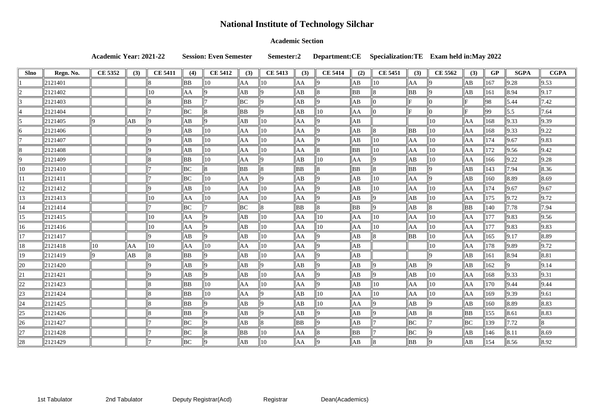### **Academic Section**

**Academic Year: 2021-22 Session: Even Semester Semester:2 Department:CE Specialization:TE Exam held in:May 2022**

| <b>Slno</b>    | Regn. No. | <b>CE 5352</b> | (3) | <b>CE 5411</b> | (4)            | <b>CE 5412</b> | (3) | <b>CE 5413</b> | (3)            | <b>CE 5414</b> | (2)            | <b>CE 5451</b> | (3)            | <b>CE 5562</b> | (3)       | GP  | <b>SGPA</b>    | <b>CGPA</b>        |
|----------------|-----------|----------------|-----|----------------|----------------|----------------|-----|----------------|----------------|----------------|----------------|----------------|----------------|----------------|-----------|-----|----------------|--------------------|
|                | 2121401   |                |     |                | BB             | 10             | AA  | 10             | AA             |                | ΙAΒ            | 10             | AA             |                | AB        | 167 | 9.28           | 9.53               |
|                | 2121402   |                |     | 10             | AA             |                | ΙAΒ |                | ΙAΒ            |                | BB             |                | <b>BB</b>      |                | AB        | 161 | 8.94           | $\vert 9.17 \vert$ |
|                | 2121403   |                |     |                | BB             |                | ВC  |                | AB             |                | ΙAΒ            |                |                |                | F         | 98  | 5.44           | $\ 7.42\ $         |
|                | 2121404   |                |     |                | BC             |                | BB  |                | AB             | $ 10\rangle$   | AA             |                | F              |                | F         | 99  | $\vert$ 5.5    | 7.64               |
|                | 2121405   |                | AB  |                | AB             |                | ΙAΒ | 10             | AA             |                | AB             |                |                | 10             | AA        | 168 | 9.33           | $\vert$ 9.39       |
|                | 2121406   |                |     |                | AB             | $ 10\rangle$   | AA  | 10             | AA             |                | AB             |                | <b>BB</b>      | 10             | AA        | 168 | 9.33           | 9.22               |
|                | 2121407   |                |     |                | AB             | $ 10\rangle$   | AA  | 10             | AA             |                | AB             | 10             | AA             | 10             | AA        | 174 | 9.67           | $\vert$ 9.83       |
|                | 2121408   |                |     |                | AB             | $ 10\rangle$   | AA  | 10             | AA             |                | <b>BB</b>      | 10             | AA             | 10             | AA        | 172 | 9.56           | $\vert$ 9.42       |
|                | 2121409   |                |     |                | <b>BB</b>      | $\parallel$ 10 | AA  |                | AB             | $ 10\rangle$   | AA             |                | АB             | 10             | AA        | 166 | 9.22           | 9.28               |
| 10             | 2121410   |                |     |                | BC             |                | BB  |                | <b>BB</b>      |                | BB             |                | <b>BB</b>      |                | AB        | 143 | 7.94           | $\ 8.36\ $         |
|                | 2121411   |                |     |                | BC             | 10             | AA  |                | ΙAΒ            |                | AB             | 10             | AA             |                | AB        | 160 | 8.89           | 8.69               |
| 12             | 2121412   |                |     |                | AB             | $ 10\rangle$   | AA  | 10             | AA             |                | AB             | 10             | AA             | 10             | AA        | 174 | 9.67           | $\ 9.67\ $         |
| 13             | 2121413   |                |     | 10             | AA             | $ 10\rangle$   | AA  | 10             | AA             |                | AB             |                | АB             | 10             | AA        | 175 | 9.72           | $\vert 9.72 \vert$ |
| 14             | 2121414   |                |     |                | BC             |                | BC  |                | BB             |                | BB             |                | АB             |                | <b>BB</b> | 140 | 7.78           | 7.94               |
| 15             | 2121415   |                |     | 10             | AA             |                | ΙAΒ | 10             | AA             | 10             | AA             | 10             | AA             | 10             | AA        | 177 | $ 9.83\rangle$ | 9.56               |
| 16             | 2121416   |                |     | 10             | AA             |                | ΙAΒ | 10             | AA             | 10             | AA             | 10             | AA             | 10             | AA        | 177 | 9.83           | $\vert$ 9.83       |
| 17             | 2121417   |                |     |                | AB             |                | AB  | 10             | AA             |                | AB             |                | <b>BB</b>      | 10             | AA        | 165 | 9.17           | $\ 8.89\ $         |
| 18             | 2121418   | 10             | AA  | 10             | AA             | $ 10\rangle$   | AA  | 10             | AA             |                | AB             |                |                | 10             | AA        | 178 | 9.89           | $\vert 9.72 \vert$ |
| 19             | 2121419   |                | АB  |                | <b>BB</b>      |                | ΙAΒ | 10             | AA             |                | AB             |                |                |                | AB        | 161 | 8.94           | $\ 8.81$           |
| 20             | 2121420   |                |     |                | AB             |                | ΙAΒ |                | ΙAΒ            |                | ΙAΒ            |                | AB             |                | AB        | 162 |                | $\vert 9.14$       |
| 21             | 2121421   |                |     |                | AB             |                | ΙAΒ | 10             | AA             |                | AB             |                | AB             | 10             | AA        | 168 | 9.33           | $\vert 9.31 \vert$ |
| 22             | 2121423   |                |     |                | BB             | $ 10\rangle$   | AA  | 10             | AA             |                | АB             | 10             | AA             | 10             | AA        | 170 | 9.44           | 9.44               |
| $\boxed{23}$   | 2121424   |                |     | 18             | $\parallel$ BB | $\parallel$ 10 | AA  | $\parallel$ 9  | $\parallel$ AB | $\parallel$ 10 | $\parallel$ AA | $\parallel$ 10 | $\parallel$ AA | $\parallel$ 10 | ∥AA       | 169 | $\ 9.39\ $     | $\ 9.61$           |
| $\boxed{24}$   | 2121425   |                |     |                | BB             |                | AB  |                | AB             | $\parallel$ 10 | AA             |                | $\ AB\ $       |                | AB        | 160 | $ 8.89\rangle$ | $\ 8.83\ $         |
| $\parallel 25$ | 2121426   |                |     |                | BB             |                | AB  |                | AB             |                | $\ AB\ $       |                | AB             |                | BB        | 155 | 8.61           | $\ 8.83\ $         |
| $\ 26\ $       | 2121427   |                |     |                | $\parallel$ BC |                | AB  |                | BB             |                | $\ AB\ $       |                | $\parallel$ BC |                | BC        | 139 | 7.72           | 18                 |
| 27             | 2121428   |                |     |                | BC             |                | BB  | $\parallel$ 10 | AA             |                | $\parallel$ BB |                | BC             |                | AB        | 146 | $\ 8.11$       | $\ 8.69\ $         |
| $\ 28\ $       | 2121429   |                |     |                | $\parallel$ BC | IIQ.           | AB  | $\parallel$ 10 | AA             | llQ.           | $\ AB\ $       |                | $\parallel$ BB |                | AB        | 154 | $\ 8.56\ $     | $\ 8.92\ $         |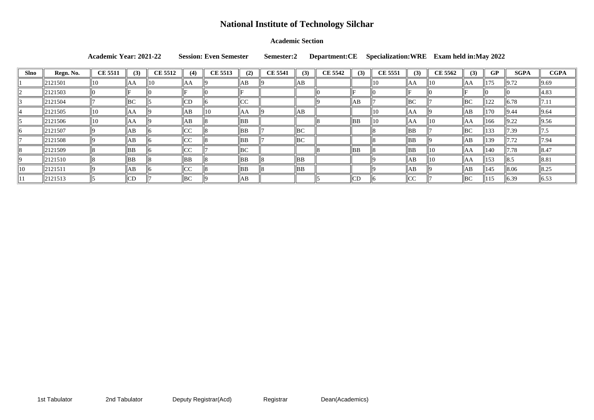### **Academic Section**

**Academic Year: 2021-22 Session: Even Semester Semester:2 Department:CE Specialization:WRE Exam held in:May 2022**

| <b>Slno</b>  | Regn. No. | <b>CE 5511</b> | (3)       | <b>CE 5512</b> | (4)  | <b>CE 5513</b> | (2)      | <b>CE 5541</b> | (3)       | <b>CE 5542</b> | (3) | <b>CE 5551</b> | (3) | <b>CE 5562</b> | (3)         | GP  | <b>SGPA</b>        | <b>CGPA</b>        |
|--------------|-----------|----------------|-----------|----------------|------|----------------|----------|----------------|-----------|----------------|-----|----------------|-----|----------------|-------------|-----|--------------------|--------------------|
|              | 2121501   | 10             | ΑA        | 110            | AA   |                | AB       |                | AB        |                |     | 10             | AA  | 11 O           | AA          | 175 | $\vert 9.72 \vert$ | 9.69               |
|              | 2121503   |                |           |                |      |                | E        |                |           |                |     |                |     |                | Е           |     |                    | $\parallel 4.83$   |
|              | 2121504   |                | BC        |                | CD   |                | $ {CC} $ |                |           |                | AB  |                | BC  |                | $ {\rm BC}$ | 122 | 6.78               | 17.1               |
|              | 2121505   | 10             | AA        |                | AB   | 10             | AA       |                | AB        |                |     | 110            | IAA |                | AB          | 170 | $\vert$  9.44      | $\ 9.64\ $         |
|              | 2121506   | 10             | AA        |                | AB   |                | ∥BB      |                |           |                | ∥BB | 10             | AA  |                | AA          | 166 | 9.22               | $\vert 9.56 \vert$ |
|              | 2121507   |                | AB        |                | CC   |                | ∥BB      |                | BC        |                |     |                | BB  |                | BC          | 133 | 7.39               | 7.5                |
|              | 2121508   |                | AB        |                | CC   |                | BB       |                | BC        |                |     |                | BB  |                | AB          | 139 | 17.72              | 7.94               |
|              | 2121509   |                | <b>BB</b> |                | CC   |                | BC       |                |           |                | BB  |                | BB  |                | AA          | 140 | $\  7.78$          | $\ 8.47$           |
|              | 2121510   |                | BB        |                | BB   |                | BB       |                | BB        |                |     |                | AB  |                | lАА         | 153 | $\parallel 8.5$    | 8.81               |
| $ 10\rangle$ | 2121511   |                | AB        |                | llcc |                | BB       |                | <b>BB</b> |                |     |                | AB  |                | AB          | 145 | $\ 8.06$           | $\ 8.25\ $         |
|              | 2121513   |                | CD        |                | BC   |                | ∥AB      |                |           |                | CD  |                | CC  |                | BC          | 15  | 6.39               | $\ 6.53$           |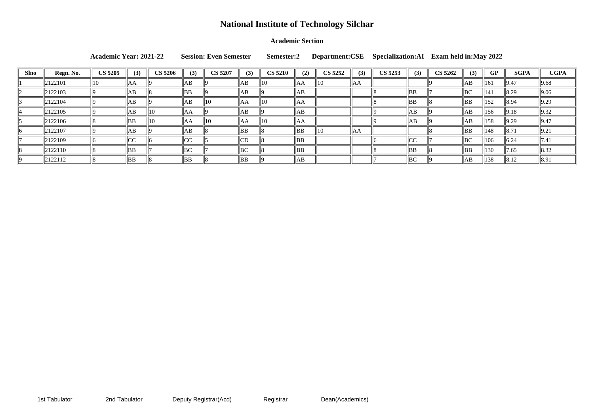#### **Academic Section**

|             |                     | <b>Academic Year: 2021-22</b> |               |                |                  | <b>Session: Even Semester</b> |     | Semester:2     |     | Department: CSE |     | Specialization: AI Exam held in: May 2022 |                |                |     |               |                    |                |
|-------------|---------------------|-------------------------------|---------------|----------------|------------------|-------------------------------|-----|----------------|-----|-----------------|-----|-------------------------------------------|----------------|----------------|-----|---------------|--------------------|----------------|
| <b>Slno</b> | Regn. No.           | <b>CS 5205</b>                | (3)           | <b>CS 5206</b> | (3)              | <b>CS 5207</b>                | (3) | <b>CS 5210</b> | (2) | <b>CS 5252</b>  | (3) | CS 5253                                   | (3)            | <b>CS 5262</b> | (3) | GP            | <b>SGPA</b>        | <b>CGPA</b>    |
|             | $\ 2122101$         | 10                            | AA            |                | AB               |                               | AB  | $\parallel$ 10 | AA  | $\parallel$ 10  | AA  |                                           |                |                | AB  | $\vert$ 161   | $\vert$  9.47      | 9.68           |
|             | $\parallel$ 2122103 |                               | AB            |                | BB               |                               | ΙAΒ |                | AB  |                 |     |                                           | BB             |                | BC  | 141           | 8.29               | $\ 9.06\ $     |
|             | $\parallel$ 2122104 |                               | AB            |                | AB               | $\parallel$ 10                | AA  | $\parallel$ 10 | lАA |                 |     |                                           | $\parallel$ BB |                | BB  | 152           | 8.94               | $ 9.29\rangle$ |
|             | $\parallel$ 2122105 |                               | AB            | $\parallel$ 10 | lΑA              |                               | AВ  |                | AB  |                 |     |                                           | AB             |                | AB  | 156           | $\vert 9.18 \vert$ | 9.32           |
|             | $\ 2122106\ $       |                               | BB            | $\parallel$ 10 | lАA              | $\parallel$ 10                | AA  | $\parallel$ 10 | lАA |                 |     |                                           | AB             |                | AB  | 158           | $\vert 9.29 \vert$ | $\vert$  9.47  |
|             | $\ 2122107\ $       |                               | AB            |                | AВ               |                               | BB  |                | BB  | 110             | AA  |                                           |                |                | BB  | 148           | $\ 8.71$           | 9.21           |
|             | $\parallel$ 2122109 |                               | $\mathsf{In}$ |                | $\sqrt{2}$<br>∪∪ |                               | CD  |                | BB  |                 |     |                                           | $ {CC} $       |                | BC  | $ 106\rangle$ | $\ 6.24\ $         | 7.41           |
|             | $\ 2122110\ $       |                               | BB            |                | $\parallel$ BC   |                               | BC  |                | BB  |                 |     |                                           | $\parallel$ BB |                | BB  | 130           | $\ 7.65\ $         | $\ 8.32\ $     |
|             | $\parallel$ 2122112 |                               | BB            |                | BB               |                               | BB  |                | AB  |                 |     |                                           | BC             |                | AB  | 138           | $\vert 8.12 \vert$ | 8.91           |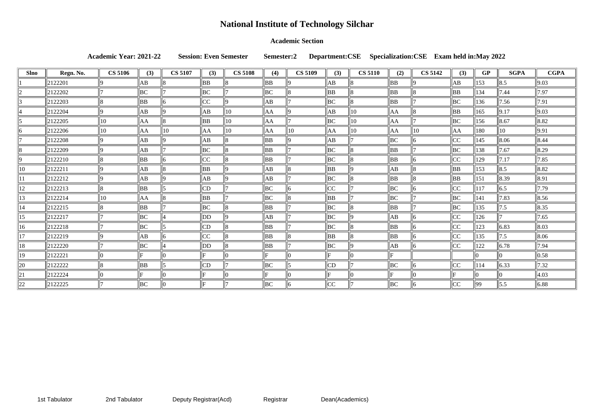### **Academic Section**

**Academic Year: 2021-22 Session: Even Semester Semester:2 Department:CSE Specialization:CSE Exam held in:May 2022**

| <b>Slno</b>  | Regn. No.   | <b>CS 5106</b> | (3) | <b>CS 5107</b> | (3)       | <b>CS 5108</b> | (4)       | <b>CS 5109</b> | (3)             | <b>CS 5110</b> | (2)       | <b>CS 5142</b> | (3)             | GP  | <b>SGPA</b>     | <b>CGPA</b>        |
|--------------|-------------|----------------|-----|----------------|-----------|----------------|-----------|----------------|-----------------|----------------|-----------|----------------|-----------------|-----|-----------------|--------------------|
|              | 2122201     |                | AB  |                | BB        |                | BB        |                | $\overline{AB}$ |                | <b>BB</b> |                | AB              | 153 | 8.5             | 9.03               |
|              | 2122202     |                | BC  |                | BC        |                | BC        |                | BB              |                | BB        |                | ΒB              | 134 | 7.44            | 7.97               |
|              | 2122203     |                | BB  |                | CC        |                | AB        |                | BС              |                | BB        |                | BС              | 136 | 7.56            | 7.91               |
|              | 2122204     |                | AB  |                | ΙAΒ       | $ 10\rangle$   | AA        |                | AB              | 10             | AA        |                | BB              | 165 | $\vert 9.17$    | 9.03               |
|              | 2122205     | 10             | AA  |                | <b>BB</b> | $ 10\rangle$   | AA        |                | BC              | $ 10\rangle$   | AA        |                | BС              | 156 | $\ 8.67$        | 8.82               |
|              | 2122206     | 10             | AA  | 10             | AA        | $ 10\rangle$   | AA        | 10             | AA              | 10             | AA        | 10             | AA              | 180 | $ 10\rangle$    | 9.91               |
|              | 2122208     |                | AB  |                | ΙAΒ       |                | BB        |                | AB              |                | BC        |                | CC              | 145 | 8.06            | 8.44               |
|              | 2122209     |                | AB  |                | BС        |                | BB        |                | BС              |                | BB        |                | BС              | 138 | 7.67            | 8.29               |
|              | 2122210     |                | BB  |                | CC        |                | BB        |                | BC              |                | BB        |                | CC              | 129 | 7.17            | 7.85               |
| $ 10\rangle$ | $\ 2122211$ |                | AВ  |                | <b>BB</b> | ۱Q             | AB        |                | <b>BB</b>       |                | AB        |                | BB              | 153 | $\parallel$ 8.5 | $\ 8.82\ $         |
|              | 2122212     |                | AB  |                | AB        |                | AB        |                | ВC              |                | BB        |                | BB              | 151 | 8.39            | 8.91               |
| $ 12\rangle$ | 2122213     |                | BB  |                | CD        |                | BC        |                | CC              |                | BC        |                | CC              | 117 | 6.5             | 7.79               |
| 13           | 2122214     | 1C             | AA  |                | <b>BB</b> |                | BC        |                | BB              |                | BC        |                | BС              | 141 | 7.83            | 8.56               |
| 14           | 2122215     |                | BB  |                | BС        |                | BB        |                | ВC              |                | BB        |                | BС              | 135 | 7.5             | 8.35               |
| 15           | 2122217     |                | BC  |                | DD        | ۱Q             | АB        |                | ВC              |                | AB        |                | CC              | 126 |                 | 7.65               |
| 16           | 2122218     |                | BС  |                | CD        |                | <b>BB</b> |                | ВC              |                | BB        |                | $\overline{C}C$ | 123 | 6.83            | 8.03               |
| 17           | 2122219     |                | AB  |                | CC        |                | BB        |                | BB              |                | BB        |                | CC              | 135 | 7.5             | $\vert 8.06 \vert$ |
| 18           | 2122220     |                | BC  |                | DD        |                | <b>BB</b> |                | ВC              |                | AB        |                | CC              | 122 | 6.78            | 7.94               |
| 19           | 2122221     |                | Б   |                |           |                |           |                |                 |                |           |                |                 |     |                 | 0.58               |
| 20           | 2122222     |                | BB  |                | CD        |                | BC        |                | CD              |                | ВC        |                | CC              | 114 | 6.33            | 7.32               |
| 21           | 2122224     |                |     |                |           |                |           |                |                 |                |           |                |                 |     |                 | 4.03               |
| 22           | 2122225     |                | BC  |                |           |                | BC        |                | CC              |                | BC        |                | CC              | 99  | 5.5             | 6.88               |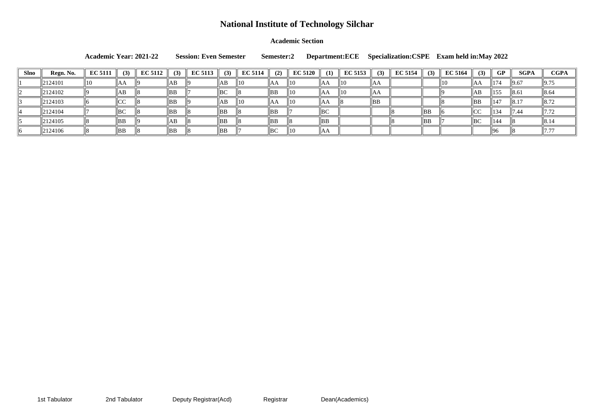### **Academic Section**

**Academic Year: 2021-22 Session: Even Semester Semester:2 Department:ECE Specialization:CSPE Exam held in:May 2022**

| <b>Slno</b> | Regn. No. | <b>EC 5111</b> | (3)     | <b>EC 5112</b> | (3)  | <b>EC 5113</b> | (3) | <b>EC 5114</b> | (2) | <b>EC 5120</b> | (1)       | <b>EC 5153</b> | (3) | <b>EC 5154</b> | (3)            | <b>EC 5164</b> | (3)         | <b>GP</b>       | <b>SGPA</b> | <b>CGPA</b>      |
|-------------|-----------|----------------|---------|----------------|------|----------------|-----|----------------|-----|----------------|-----------|----------------|-----|----------------|----------------|----------------|-------------|-----------------|-------------|------------------|
|             | 2124101   |                | AA      |                | ' AB |                | AБ  | 11 C           | IAA | 10             | ΙAΑ       | 110            | ∥AA |                |                | ll 10          | IAA         | 174             | 9.67        | $\vert$ 9.75     |
|             | 2124102   |                | 'AB     |                | BB   |                | BC  |                | ∥BB | 10             | 'IAA      | H10            | ∥AA |                |                |                | AB          | 155             | 8.6         | 8.64             |
|             | 2124103   |                | CC      |                | BB   |                | AB  | 1C             | IAA | 10             | ΙAΑ       |                | DБ  |                |                |                | ΒB          | 147             | 18.1        | $\parallel$ 8.72 |
|             | 2124104   |                | BC      |                | BB   |                | BB  |                | BB  |                | BC        |                |     |                | $\parallel$ BB |                | $\sim$<br>◡ | $\frac{134}{2}$ | 7.44        | 17.72            |
|             | 2124105   |                | $\ $ BB |                | AB   |                | BB  |                | BB  |                | <b>BB</b> |                |     |                | $\parallel$ BB |                | BC          | 144             |             | 8.14             |
|             | 2124106   |                | BB      |                | BB   |                | ∥BB |                | BC  | 10             | ''AA      |                |     |                |                |                |             |                 |             |                  |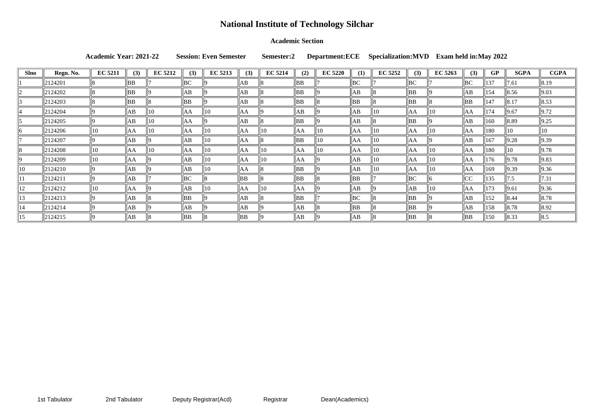### **Academic Section**

**Academic Year: 2021-22 Session: Even Semester Semester:2 Department:ECE Specialization:MVD Exam held in:May 2022**

| Slno         | Regn. No. | <b>EC 5211</b> | (3) | <b>EC 5212</b> | (3) | <b>EC 5213</b> | (3)       | <b>EC 5214</b> | (2) | <b>EC 5220</b> | (1) | <b>EC 5252</b> | (3)            | <b>EC 5263</b> | (3)  | GP  | <b>SGPA</b> | <b>CGPA</b>        |
|--------------|-----------|----------------|-----|----------------|-----|----------------|-----------|----------------|-----|----------------|-----|----------------|----------------|----------------|------|-----|-------------|--------------------|
|              | 2124201   |                | ΒB  |                | BC  |                | AB        |                | BB  |                | BC  |                | BC             |                | BC   | 137 | 7.61        | 8.19               |
|              | 2124202   |                | BB  |                | AB  |                | AB        |                | BB  |                | ΙAΒ |                | ∥BB            |                | AB   | 154 | $\ 8.56\ $  | $\vert 9.03 \vert$ |
|              | 2124203   |                | BB  |                | BB  |                | AB        |                | BB  |                | BB  |                | $\parallel$ BB |                | BB   | 147 | $\ 8.17$    | $\ 8.53\ $         |
|              | 2124204   |                | ΙAΒ | 10             | lΑA | 10             | lΑA       |                | AB  |                | AB  | 10             | AA             | $\parallel$ 10 | ∥AA  | 174 | 9.67        | $\vert 9.72 \vert$ |
|              | 2124205   |                | ΙAΒ | 10             | lΑA |                | AB        |                | BB  |                | AB  |                | $\parallel$ BB |                | AB   | 160 | 8.89        | $\vert 9.25 \vert$ |
|              | 2124206   | $\parallel$ 10 | AA  | 10             | ΙAΑ | 10             | AA        |                | AA  |                | AA  | 10             | AA             | $ 10\rangle$   | AA   | 180 | 10          | $\parallel$ 10     |
|              | 2124207   |                | AB  |                | AB  | ll 1 O         | AΑ        |                | BB  |                | AA  | $ 10\rangle$   | ∥AA            |                | AB   | 167 | 9.28        | $\vert$ 9.39       |
|              | 2124208   | $\parallel$ 10 | lАA | 10             | AA  | 10             | AA        | 110            | AA  | ( )            | AA  | $\parallel$ 10 | $\ AA$         | 10             | ∥AA  | 180 | 10          | 9.78               |
|              | 2124209   | $\parallel$ 10 | AA  |                | AB  | 10             | AA        |                | AA  |                | AB  | 10             | AA             | 10             | ∥AA  | 176 | 9.78        | $\vert$ 9.83       |
| $ 10\rangle$ | 2124210   |                | AB  |                | AB  | ll 1 O         | AΑ        |                | BB  |                | ΙAΒ | 10             | AA             | $ 10\rangle$   | AA   | 169 | 9.39        | $\vert$ 9.36       |
|              | 2124211   |                | ΙAΒ |                | BC  |                | <b>BB</b> |                | BB  |                | BB  |                | BC             |                | CC   | 135 | 7.5         | $\  7.31$          |
| $ 12\rangle$ | 2124212   | 10             | AΑ  |                | ΙAΒ | ll 1 O         | AA        | 110            | AA  |                | AB  |                | AB             | $ 10\rangle$   | llAA | 173 | 9.61        | $\vert$ 9.36       |
| 13           | 2124213   |                | AB  |                | BB  |                | AB        |                | BB  |                | BC  |                | $\parallel$ BB |                | AB   | 152 | 8.44        | $\ 8.78\ $         |
| 14           | 2124214   |                | ΙAΒ |                | AB  |                | AB        |                | АB  |                | BB  |                | $\parallel$ BB |                | AB   | 158 | $\ 8.78\ $  | $\ 8.92\ $         |
| $ 15\rangle$ | 2124215   |                | AB  |                | BB  |                | <b>BB</b> |                | AB  |                | lАB |                | ∥BB            |                | BB   | 150 | 8.33        | $\parallel$ 8.5    |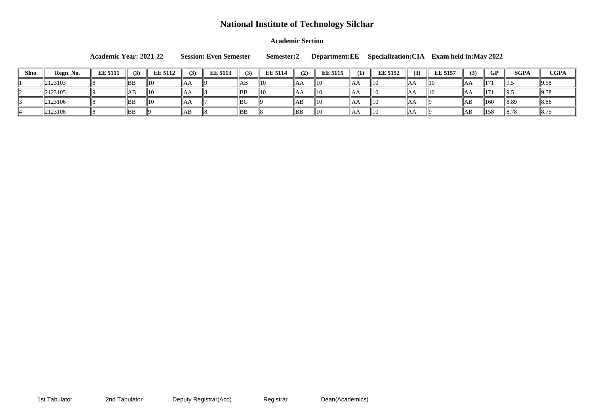**Academic Section**

**Academic Year: 2021-22 Session: Even Semester Semester:2 Department:EE Specialization:CIA Exam held in:May 2022**

| <b>Slno</b> | Regn. No. | <b>EE 5111</b> | (3)       | <b>EE 5112</b> |      | <b>EE 5113</b> |                | <b>EE 5114</b> | (2) | <b>EE 5115</b> |      | <b>EE 5152</b> |     | <b>EE 5157</b> |      | GP             | SGPA  | <b>CGPA</b>     |
|-------------|-----------|----------------|-----------|----------------|------|----------------|----------------|----------------|-----|----------------|------|----------------|-----|----------------|------|----------------|-------|-----------------|
|             | 2123103   |                | <b>BB</b> | 10             | IIAA |                | AB             | 11 C           | AA  | 1C             | IАA  |                | IAA | II 1 0         | IIAA | $\parallel$ 17 | 그!!!… | 12.JU           |
|             | 2123105   |                |           | 10             | IIAA |                | BB             | ll 10          | ľАA | 1C             | AΑ   | 1(             | ЮA  | 11 (           | IIAA | $\parallel$ 17 | '19.J |                 |
|             | 2123106   |                | BB        | $\parallel$ 10 | IAA  |                | BC             |                | AB  | 1C             | IAA  |                | IAA |                | AB   | 160            | 8.89  | 8.86            |
|             | 2123108   |                | BB        |                | ЧAЬ  |                | $\parallel$ BB |                | DD  | 1C             | IA A | II 1 C         | IAP |                | ∥AB  | 158            | 8.78  | $\parallel$ 8.7 |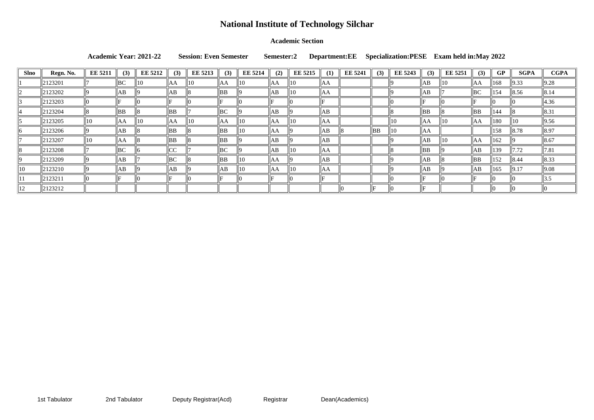### **Academic Section**

**Academic Year: 2021-22 Session: Even Semester Semester:2 Department:EE Specialization:PESE Exam held in:May 2022**

| Slno           | Regn. No.     | <b>EE 5211</b> | (3)            | <b>EE 5212</b> | (3)            | <b>EE 5213</b> | (3)       | <b>EE 5214</b> | (2)    | <b>EE 5215</b> | (1) | <b>EE 5241</b> | (3) | <b>EE 5243</b> | (3) | <b>EE</b> 5251 | (3)  | GP              | <b>SGPA</b>  | <b>CGPA</b>        |
|----------------|---------------|----------------|----------------|----------------|----------------|----------------|-----------|----------------|--------|----------------|-----|----------------|-----|----------------|-----|----------------|------|-----------------|--------------|--------------------|
|                | 2123201       |                | $n \cap$<br>DU | 10             | AA             | $ 10\rangle$   | AA        | 10             | AA     | 10             | AA  |                |     |                | AB  | 10             | ΙAΑ  | 168             | $\vert 9.33$ | $\vert 9.28 \vert$ |
|                | 2123202       |                | AB             |                | AB             |                | BB        |                | AB     | 10             | AA  |                |     |                | AB  |                | BC   | 154             | 8.56         | $\ 8.14\ $         |
|                | 2123203       |                |                |                | Е              |                |           |                | Im I   |                |     |                |     |                |     |                |      |                 |              | 4.36               |
|                | 2123204       |                | <b>BB</b>      |                | $\parallel$ BB |                | BC        |                | AB     |                | AB  |                |     |                | BB  |                | ' BB | 144             |              | $\ 8.31\ $         |
|                | $\ 2123205\ $ | 10             | AA             | II 1 ()        | AA             | 10             | AA        | 10             | AA     | 10             | AA  |                |     | 10             | AA  | 10             | ΙAΑ  | 180             | 11 I O       | $\vert$ 9.56       |
|                | $\ 2123206\ $ |                | AB             |                | $\parallel$ BB |                | ΒB        | 10             | AA     |                | AB  |                | BB  | 10             | AA  |                |      | 158             | $\ 8.78\ $   | 8.97               |
|                | 2123207       | 10             | AA             |                | $\parallel$ BB |                | ΒB        |                | AB     |                | ΙAΒ |                |     |                | ΙAΒ | 10             | ΙAΑ  | 162             |              | $\ 8.67$           |
|                | $\ 2123208\ $ |                | $D \cap$<br>DU |                | CC             |                | BC        |                | AB     | ll 10          | AA  |                |     |                | BB  |                | ΙAΒ  | $ 139\rangle$   | 17.72        | $\ 7.81$           |
|                | 2123209       |                | AB             |                | $\parallel$ BC |                | <b>BB</b> | w              | $\ AA$ |                | ΙAΒ |                |     |                | AB  |                | BB   | $\parallel$ 152 | 8.44         | $\ 8.33\ $         |
| $\parallel$ 10 | $\ 2123210\ $ |                | AB             |                | AB             |                | AB        | 10             | AA     | 10             | lΑA |                |     |                | AB  |                | AB   | $ 165\rangle$   | 9.17         | 9.08               |
|                | $\ 2123211$   |                |                |                |                |                |           |                |        |                |     |                |     |                |     |                |      |                 |              |                    |
| $\parallel$ 12 | 2123212       |                |                |                |                |                |           |                |        |                |     |                |     |                |     |                |      |                 |              |                    |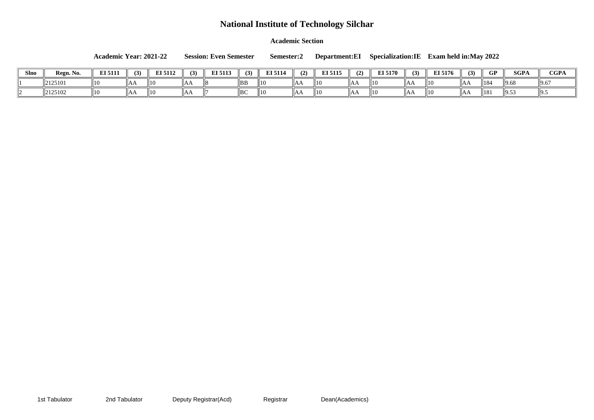**Academic Section**

| <b>Academic Year: 2021-22</b> | <b>Session: Even Semester</b> |  | Semester:2 Department:EI Specialization:IE Exam ho |  |
|-------------------------------|-------------------------------|--|----------------------------------------------------|--|
|                               |                               |  |                                                    |  |

| <b>Slno</b> | Regn. No. | INT 5444<br>EI 511 |    | RT 2118<br>LI 51 L |    | $TTZ = 440$<br><b>ET 211</b> | $\mathbf{U}$   | $NT$ $E114$<br>l 3114 | (2)          | <b>EI 5115</b> | 1 A    | $\overline{1}$ 5170 | (3) | EI 5176 | $\ddot{\phantom{0}}$ | $\cap$ D<br>u | <b>SGPA</b>                         | <b>CGPA</b> |
|-------------|-----------|--------------------|----|--------------------|----|------------------------------|----------------|-----------------------|--------------|----------------|--------|---------------------|-----|---------|----------------------|---------------|-------------------------------------|-------------|
|             | 2125101   | ll10               | лг | 11 C               | ΑF |                              | BB             | $\parallel$ 10        | $\mathbf{M}$ | $\parallel$ 10 | 1 11 1 | 11 C                |     | 10      | ЮA                   | 118           |                                     |             |
|             | 2125102   | 10                 | nе | 110                | AΑ |                              | $\parallel$ BC | $\parallel$ 10        | 1 N.I.       | $\parallel$ 10 | nn     | II 1 C              | .   | 11 O    | IAA                  | 181           | $\overline{\phantom{0}}$<br>11 フ.J. |             |

**Academic Years: May 2022**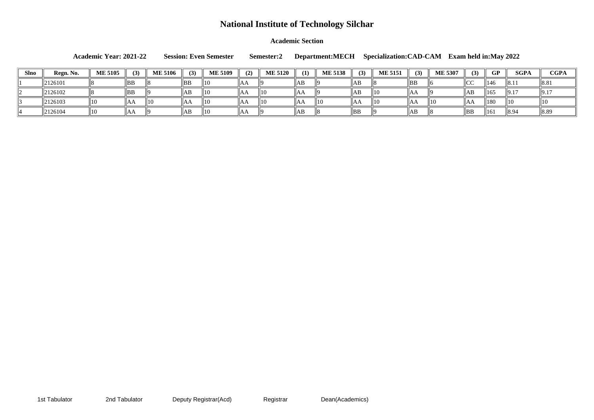### **Academic Section**

**Academic Year: 2021-22 Session: Even Semester Semester:2 Department:MECH Specialization:CAD-CAM Exam held in:May 2022**

| Slno | Regn. No. | <b>ME 5105</b> | (3) | <b>ME 5106</b> |                | <b>ME 5109</b> | (2)  | <b>ME 5120</b> | (1)  | <b>ME 5138</b> | (3) | <b>ME 5151</b> | (3) | <b>ME 5307</b> | (3)            | <b>GP</b>       | <b>SGPA</b>          | <b>CGPA</b>      |
|------|-----------|----------------|-----|----------------|----------------|----------------|------|----------------|------|----------------|-----|----------------|-----|----------------|----------------|-----------------|----------------------|------------------|
|      | 2126101   |                | BB  |                | $\parallel$ BB | II 1 0         | IIAA |                | 'AB  |                | AΒ  |                | BB  |                | CC             | 1146            | 8.1                  | $\mathsf{IIO.0}$ |
|      | 2126102   |                | BB  |                | AB             | 10             | IAA  | 110            | ''AA |                | AΒ  | 111 O          | IAA |                | ∣AD            | 165             | $  9.1$ <sup>-</sup> |                  |
|      | 2126103   | ПU             | AA  | $\parallel$ 10 | IAF            | 10             | 11AA | 110            | IAA  |                | INN | 11 O           | ЮA  | 10             |                | $\parallel$ 180 |                      |                  |
|      | 2126104   | 10             | IAA |                | 'lAB           | II 1 0         | IIAA |                | AB   |                | ∥BB |                | AВ  |                | $\parallel$ BB | 161             | 8.94                 |                  |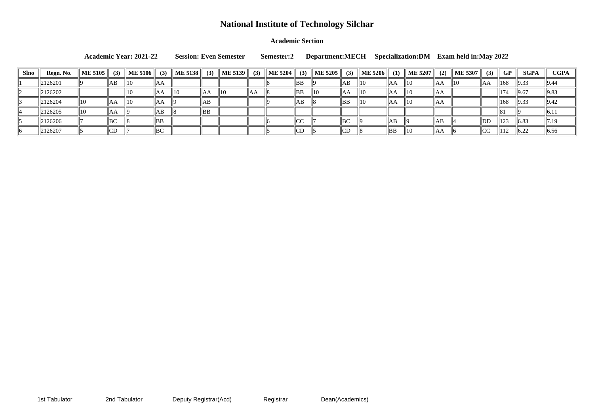### **Academic Section**

**Academic Year: 2021-22 Session: Even Semester Semester:2 Department:MECH Specialization:DM Exam held in:May 2022**

| <b>Slno</b> | Regn. No.            | ME 5105 $\parallel$ | (3)                 | <b>ME 5106</b> | (3)           | <b>ME 5138</b> | (3) | $\vert$ ME 5139 $\vert\vert$ | (3) | ME 5204 $\parallel$ | (3)              | <b>ME 5205</b> | (3) | $\vert$ ME 5206 $\vert\vert$ | $\mathbf{I}$ | $\vert$ ME 5207 $\vert\vert$ | (2) | $\vert$ ME 5307 $\vert\vert$ | (3)      | <b>GP</b>       | <b>SGPA</b>  | <b>CGPA</b>   |
|-------------|----------------------|---------------------|---------------------|----------------|---------------|----------------|-----|------------------------------|-----|---------------------|------------------|----------------|-----|------------------------------|--------------|------------------------------|-----|------------------------------|----------|-----------------|--------------|---------------|
|             | $\frac{1}{2}$ 126201 |                     | AB                  | $\parallel$ 10 | ∣IAA          |                |     |                              |     |                     | ΒB               |                | AВ  | 10                           | IАA          | 10                           | AA  | 10                           | ľАA      | $\ 168$         | $\vert$ 9.33 | 9.44          |
|             | $\parallel$ 2126202  |                     |                     | 110            | IАA           | $\parallel$ 10 | AA  | $\parallel$ 10               | ∥AA |                     | BB               | ll10           | IAА | 10                           | ΙAΑ          | II 1 0                       | IAA |                              |          | $ 17\rangle$    | 9.67         | $\vert$  9.83 |
|             | 2126204              | $\parallel$ 10      | IAA                 | 10             | ΑA            |                | ΙAΒ |                              |     |                     | ΙAΒ              |                | ∥BB | 10                           | AA           | 1C                           | IΑA |                              |          | $\ 168\ $       | $\vert 9.33$ | $\vert$  9.42 |
|             | 2126205              | $\parallel$ 10      | $\mathsf{I}$ AA     |                | ΙAΒ           |                | BB  |                              |     |                     |                  |                |     |                              |              |                              |     |                              |          |                 |              | 6.11          |
|             | 2126206              |                     | $\mathbf{L}$<br>∣D∪ |                | BB            |                |     |                              |     |                     | $\sqrt{2}$<br>◡◡ |                | BC  |                              | AВ           |                              | 'AЬ |                              | DD       | $\parallel$ 123 | $\ 6.83$     | $\ 7.19\ $    |
|             | 2126207              |                     | CD                  |                | $D\cap$<br>D∪ |                |     |                              |     |                     | CD               |                | CD  |                              | ∣BB          | II 1 0                       | IAA |                              | $ {CC} $ |                 | $\vert$ 6.22 | $\vert$ 6.56  |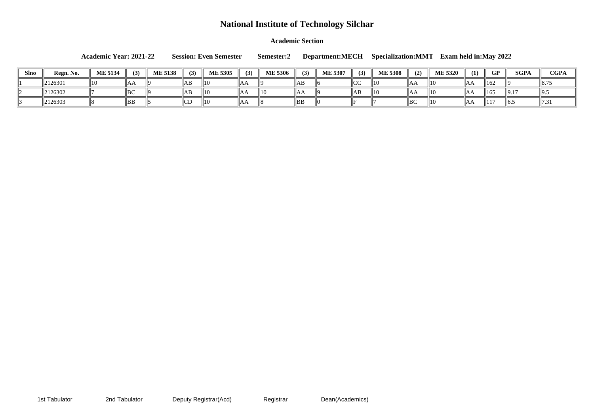**Academic Section**

**Academic Year: 2021-22 Session: Even Semester Semester:2 Department:MECH Specialization:MMT Exam held in:May 2022**

| <b>Slno</b> | Regn. No. | <b>ME 5134</b> | (3)               | <b>ME 5138</b> | (3)    | <b>ME 5305</b> | (3) | <b>ME 5306</b> | (3)            | <b>ME 5307</b> | (3)           | <b>ME 5308</b> | (2)            | <b>ME 5320</b> | (1)  | GP              | <b>SGPA</b>     | <b>CGPA</b> |
|-------------|-----------|----------------|-------------------|----------------|--------|----------------|-----|----------------|----------------|----------------|---------------|----------------|----------------|----------------|------|-----------------|-----------------|-------------|
|             | 2126301   | 10             | ЮA                |                | AB     | 10             | AA  |                | ∥AB            |                | $\sim$<br>⊪∪∪ | 10             | $\P$ AA        |                | ∥AA  | $\parallel$ 162 |                 |             |
|             | 2126302   |                | $ $ <sub>BC</sub> |                | AB     | 10             | IAA | $\parallel$ 10 | $\P{A}$        |                |               | 11 C           | ''AA           |                | ∥AA  | 165             | $\parallel$ 9.1 |             |
|             | 2126303   |                | BB                |                | $\sim$ | 10             | ΙAΑ |                | $\parallel$ BB |                |               |                | $\parallel$ BC |                | IIAA | 44 F            | $\parallel$ (0. |             |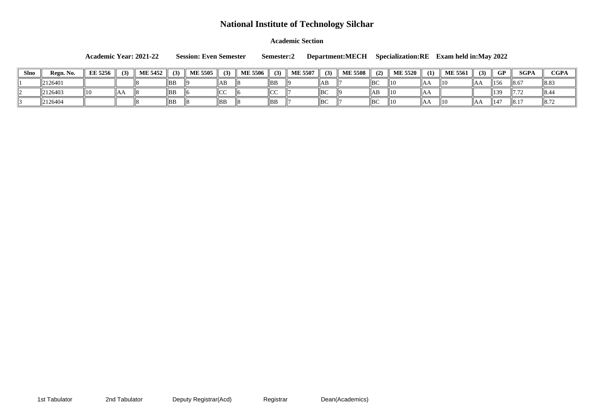**Academic Section**

**Academic Year: 2021-22 Session: Even Semester Semester:2 Department:MECH Specialization:RE Exam held in:May 2022**

| <b>Slno</b> | Regn. No. | <b>EE 5256</b> | (3) | <b>ME 5452</b> | (3)       | <b>ME 5505</b> | (3)            | <b>ME 5506</b> | (3)              | <b>ME 5507</b> | (3) | <b>ME 5508</b> | (2)            | <b>ME 5520</b> | (1) | <b>ME 5561</b> | (3)  | <b>GP</b> | <b>SGPA</b> | <b>CGPA</b>   |
|-------------|-----------|----------------|-----|----------------|-----------|----------------|----------------|----------------|------------------|----------------|-----|----------------|----------------|----------------|-----|----------------|------|-----------|-------------|---------------|
|             | 2126401   |                |     |                | BB        |                | AE             |                | BB               |                | AB  |                | $\parallel$ BC | $\parallel$ 10 |     | 10             | ⊪AA  | 156       | 8.67        | <u>ყ</u> გ.გა |
|             | 2126403   |                | AE  |                | <b>BB</b> |                | ⊪∪∪            |                | $\sim$<br>بالحال |                | BC  |                | ¶AB            | $\parallel$ 10 |     |                |      | 139       | II / . / 2  |               |
|             | 2126404   |                |     |                | BB        |                | $\parallel$ BB |                | BB               |                | BC  |                | BC             | $\parallel$ 10 |     | 10             | IIAA | 147       | 8.1         | 110.72        |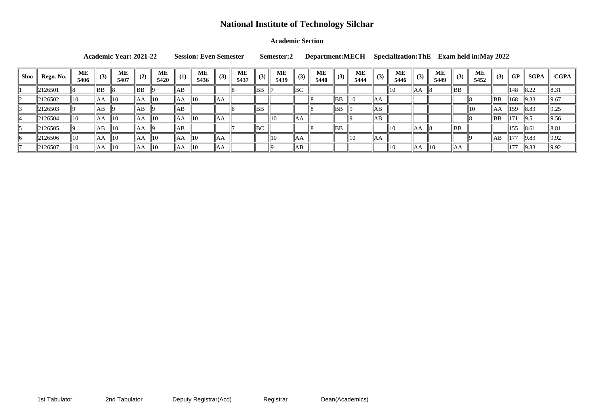### **Academic Section**

**Academic Year: 2021-22 Session: Even Semester Semester:2 Department:MECH Specialization:ThE Exam held in:May 2022**

| <b>Slno</b> | Regn. No.            | ME<br>5406     | (3)  | <b>ME</b><br>5407 |                  | <b>ME</b><br>5420 | (1)  | МE<br>5436     | (3)             | <b>ME</b><br>5437 | (3) | <b>ME</b><br>5439 | (3)  | <b>ME</b><br>5440 | (3)            | <b>ME</b><br>5444 | (3)        | <b>ME</b><br>5446 | (3)  | <b>ME</b><br>5449 | (3)            | <b>ME</b><br>5452 | (3)      | <b>GP</b>       | <b>SGPA</b>        | <b>CGPA</b>        |
|-------------|----------------------|----------------|------|-------------------|------------------|-------------------|------|----------------|-----------------|-------------------|-----|-------------------|------|-------------------|----------------|-------------------|------------|-------------------|------|-------------------|----------------|-------------------|----------|-----------------|--------------------|--------------------|
|             | 2126501              |                | BB   |                   | BB               |                   | AB   |                |                 |                   | BB  |                   | BC   |                   |                |                   |            | 10                | "IAA |                   | BB             |                   |          | 148             | $\parallel$ 8.22   | $\ 8.31$           |
|             | 2126502              | 10             | "IAA | 10                | llAA             | $\parallel$ 10    | AA   | $\parallel$ 10 | $\mathsf{II}AA$ |                   |     |                   |      |                   | BB             | $\parallel$ 10    | lАA        |                   |      |                   |                |                   | BB       | $\parallel$ 168 | $\vert 9.33 \vert$ | $\ 9.67$           |
|             | 2126503              |                | AB   |                   | AB               |                   | AB   |                |                 |                   | BB  |                   |      |                   | $\parallel$ BB |                   | AB         |                   |      |                   |                | $\parallel$ 10    | $\ AA\ $ | $\ 159\ $       | $\ 8.83\ $         | $\vert 9.25 \vert$ |
|             | 2126504              | 10             | 'IAA | $ 10\rangle$      | AA               | $\parallel$ 10    | AA   | $\parallel$ 10 | AA              |                   |     | 110               | IIAA |                   |                |                   | AB         |                   |      |                   |                |                   | BB       | 171             | $\vert$  9.5       | 9.56               |
|             | 2126505              |                | AB   | $ 10\rangle$      | AA               | -lig              | AB   |                |                 |                   | BC  |                   |      |                   | BB             |                   |            | 10                | IAA  |                   | $\parallel$ BB |                   |          | $\frac{155}{2}$ | $\ 8.61$           | 8.81               |
|             | $^{\prime}$  2126506 | $\parallel$ 10 | "AA  | 10                | $\ A\mathcal{A}$ | $\parallel$ 10    | ' AA | $\parallel$ 10 | "Aa             |                   |     | 10                | ЮA   |                   |                | 10                | <b>JAA</b> |                   |      |                   |                |                   | AB       | 1177            | $\vert 9.83 \vert$ | $\vert$ 9.92       |
|             | 2126507              | $\parallel$ 10 | ''AA | 10                | AA               | $\parallel$ 10    | AA   | $\parallel$ 10 | ΙAΑ             |                   |     |                   | AВ   |                   |                |                   |            | 10                | IAA  | 10                | ''AA           |                   |          | 1177            | $\vert 9.83 \vert$ | $\vert 9.92 \vert$ |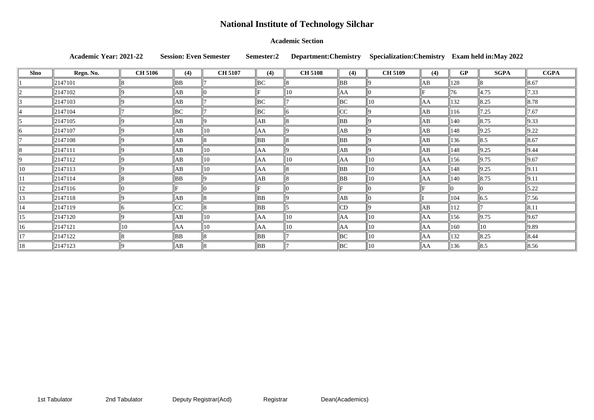### **Academic Section**

Academic Year: 2021-22 Session: Even Semester Semester: Department: Chemistry Specialization: Chemistry

| <b>Slno</b> | Regn. No.             | <b>CH 5106</b> | (4)            | <b>CH 5107</b> | (4)            | <b>CH 5108</b> | (4)            | <b>CH 5109</b> | (4)            | <b>GP</b>     | <b>SGPA</b>        | <b>CGPA</b>        |
|-------------|-----------------------|----------------|----------------|----------------|----------------|----------------|----------------|----------------|----------------|---------------|--------------------|--------------------|
|             | 2147101               |                | BB             |                | $\parallel$ BC |                | $\parallel$ BB |                | $\ AB\ $       | 128           | 18.                | $\ 8.67\ $         |
|             | 2147102               | I٥             | AB             |                | lE.            | 10             | AA             |                |                | 76            | 4.75               | $\ 7.33\ $         |
|             | 2147103               |                | AB             |                | $\parallel$ BC |                | BC             | 10             | AA             | 132           | $\parallel$ 8.25   | $\ 8.78\ $         |
|             | 2147104               |                | BC             |                | $\parallel$ BC | ľh             | CC             |                | AB             | 116           | 7.25               | 7.67               |
|             | $\vert 2147105 \vert$ |                | AB             |                | AB             |                | $\parallel$ BB |                | AB             | $ 140\rangle$ | $\ 8.75\ $         | $\vert$ 9.33       |
|             | 2147107               |                | AB             | 10             | $\ AA\ $       |                | AB             |                | AB             | $ 148\rangle$ | $\vert 9.25 \vert$ | $\vert 9.22 \vert$ |
|             | 2147108               | I٥             | AB             |                | $\parallel$ BB |                | $\parallel$ BB |                | AB             | 136           | $\ 8.5$            | $\ 8.67\ $         |
|             | $\ 2147111$           | ۱Q             | AB             | $ 10\rangle$   | AA             | ۱Q             | AB             |                | AB             | 148           | $\vert 9.25 \vert$ | $\vert$ 9.44       |
|             | $\ 2147112\ $         | ۱O             | AB             | 10             | AA             | 10             | AA             | 10             | $\parallel$ AA | $ 156\rangle$ | $\vert$ 9.75       | $\ 9.67$           |
|             | 2147113               |                | AB             | 10             | ∥AA            |                | BB             | 10             | AA             | 148           | $\vert 9.25 \vert$ | $\ 9.1^{\circ}$    |
|             | 2147114               |                | $\parallel$ BB |                | ∥AB            |                | $\parallel$ BB | 10             | AA             | $ 140\rangle$ | $\ 8.75\ $         | $\ 9.11$           |
| 12          | $\ 2147116\ $         |                |                |                |                |                |                |                |                |               |                    | $\ 5.22\ $         |
| 13          | 2147118               |                | $\parallel$ AB |                | $\parallel$ BB |                | AB             |                |                | 104           | $\parallel$ 6.5    | $\ 7.56\ $         |
| 14          | 2147119               |                | CC             |                | $\parallel$ BB |                | CD             |                | AB             | 112           |                    | $\ 8.11$           |
| 15          | 2147120               | ۱Q             | AB             | $ 10\rangle$   | $\ AA$         | $ 10\rangle$   | AA             | 10             | AA             | $ 156\rangle$ | $\vert 9.75 \vert$ | $\ 9.67\ $         |
| 16          | $\ 2147121$           | $ 10\rangle$   | ∥AA            | $ 10\rangle$   | AA             | 10             | AA             | 10             | $\parallel$ AA | $ 160\rangle$ | $\parallel$ 10     | $\vert$ 9.89       |
| 17          | 2147122               |                | BB             |                | $\parallel$ BB |                | BC             | 10             | AA             | 132           | $\ 8.25\ $         | $\ 8.44\ $         |
| 18          | $ 2147123\rangle$     | 19             | AB             |                | $\parallel$ BB |                | $\parallel$ BC | 10             | AA             | 136           | $\parallel$ 8.5    | $\ 8.56\ $         |

|  |  | Exam held in:May 2022 |  |
|--|--|-----------------------|--|
|--|--|-----------------------|--|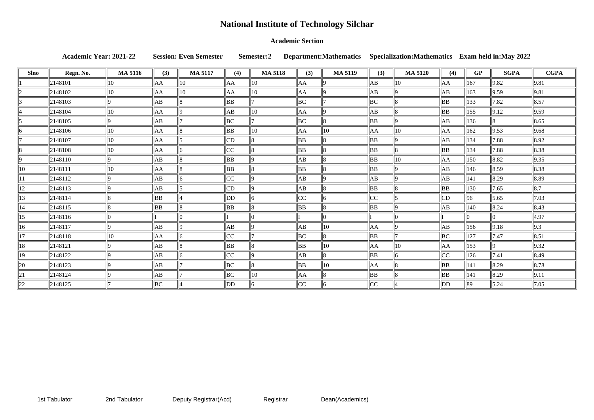### **Academic Section**

Academic Year: 2021-22 Session: Even Semester Semester:2 Department:Mathematics Specialization:Mathematics

| <b>Slno</b> | Regn. No. | <b>MA 5116</b> | (3) | <b>MA 5117</b> | (4)            | <b>MA 5118</b> | (3)            | <b>MA 5119</b> | (3) | <b>MA 5120</b> | (4)       | <b>GP</b>       | <b>SGPA</b>        | <b>CGPA</b>        |
|-------------|-----------|----------------|-----|----------------|----------------|----------------|----------------|----------------|-----|----------------|-----------|-----------------|--------------------|--------------------|
|             | 2148101   | $ 10\rangle$   | AA  | 10             | AA             | 10             | AA             |                | AB  | 10             | AA        | $ 167\rangle$   | 9.82               | 9.81               |
|             | 2148102   | 10             | AA  | 10             | AA             | 10             | AA             |                | ΙAΒ |                | AB        | $\parallel$ 163 | 9.59               | 9.81               |
|             | 2148103   |                | AB  |                | <b>BB</b>      |                | BС             |                | BС  |                | BB        | $\parallel$ 133 | 7.82               | $\ 8.57\ $         |
|             | 2148104   | 10             | AA  |                | AB             | 10             | AA             |                | AВ  |                | BB        | $\parallel$ 155 | $\vert 9.12 \vert$ | $\ 9.59\ $         |
|             | 2148105   |                | AB  |                | $\parallel$ BC |                | $\parallel$ BC |                | BB  |                | AB        | $\parallel$ 136 |                    | $\ 8.65\ $         |
|             | 2148106   | $ 10\rangle$   | AA  |                | BB             | 10             | AΑ             | $ 10\rangle$   | AA  | $ 10\rangle$   | AA        | $\parallel$ 162 | 9.53               | $\ 9.68\ $         |
|             | 2148107   | $ 10\rangle$   | AA  |                | CD             |                | BB             |                | BB  |                | AB        | $\parallel$ 134 | 7.88               | $\vert 8.92 \vert$ |
|             | 2148108   | 10             | AA  |                | CC             |                | BB             |                | ΒB  |                | BB        | $\parallel$ 134 | 7.88               | $\ 8.38\ $         |
|             | 2148110   |                | AB  |                | BB             |                | AB             |                | BB  | 10             | AA        | $\parallel$ 150 | 8.82               | $\vert$ 9.35       |
| 10          | 2148111   | $\vert$ 10     | AA  |                | BB             |                | BB             |                | BB  |                | AB        | $\parallel$ 146 | 8.59               | $\ 8.38\ $         |
|             | 2148112   |                | AВ  |                | CC             |                | AB             |                | ΙAΒ |                | AB        | $\parallel$ 141 | 8.29               | $\ 8.89\ $         |
| 12          | 2148113   |                | AB  |                | CD             |                | AB             |                | BB  |                | <b>BB</b> | $\parallel$ 130 | 7.65               | $\parallel$ 8.7    |
| 13          | 2148114   |                | BB  |                | $\parallel$ DD |                | CC             |                | CC  |                | CD        | $\parallel 96$  | 5.65               | $\vert 7.03 \vert$ |
| 14          | 2148115   |                | BB  |                | $\parallel$ BB |                | BB             |                | BB  |                | AB        | 140             | 8.24               | $\ 8.43\ $         |
| 15          | 2148116   |                |     |                |                |                |                | n              |     |                |           | llO.            |                    | 4.97               |
| 16          | 2148117   |                | AB  |                | AB             |                | AB             | $ 10\rangle$   | AA  |                | AB        | $\parallel$ 156 | 9.18               | $\parallel$ 9.3    |
| 17          | 2148118   | 10             | AA  |                | CC             |                | BC             |                | BB  |                | BC        | $\parallel$ 127 | 7.47               | $\ 8.51$           |
| 18          | 2148121   |                | AB  |                | BB             |                | BB             | 10             | AA  | 10             | AA        | $\parallel$ 153 |                    | $\vert$ 9.32       |
| 19          | 2148122   |                | AB  |                | CC             |                | AB             |                | BB  |                | CC        | $\parallel$ 126 | 7.41               | $\ 8.49\ $         |
| 20          | 2148123   |                | AB  |                | $\parallel$ BC | 8              | BB             | $ 10\rangle$   | AA  |                | <b>BB</b> | $\ 141$         | 8.29               | $\ 8.78\ $         |
| 21          | 2148124   |                | AB  |                | BC             | 10             | AA             |                | BB  |                | BB        | 141             | 8.29               | $\vert 9.11 \vert$ |
| 22          | 2148125   |                | BС  |                | $\parallel$ DD | 6              | CC             | l6             | CC  |                | DD        | $\parallel$ 89  | 5.24               | $\ 7.05\ $         |

| <b>S</b> |  |  | <b>Exam held in: May 2022</b> |  |
|----------|--|--|-------------------------------|--|
|----------|--|--|-------------------------------|--|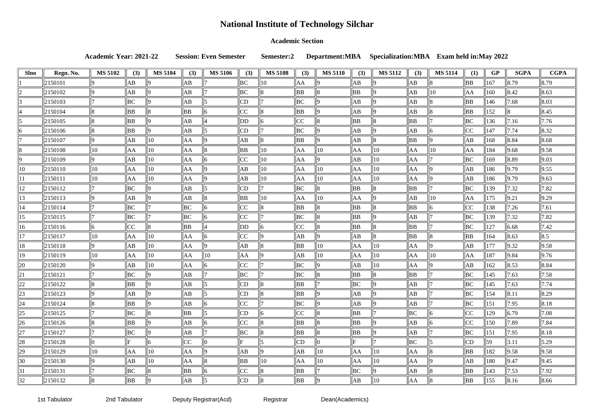### **Academic Section**

**Academic Year: 2021-22 Session: Even Semester Semester:2 Department:MBA Specialization:MBA Exam held in:May 2022**

| Slno           | Regn. No.     | <b>MS 5102</b> | (3)       | <b>MS 5104</b> | (3)            | <b>MS 5106</b> | (3) | <b>MS 5108</b> | (3)            | <b>MS 5110</b> | (3)      | <b>MS 5112</b> | (3)            | <b>MS 5114</b> | (1)            | <b>GP</b>       | <b>SGPA</b>        | <b>CGPA</b>        |
|----------------|---------------|----------------|-----------|----------------|----------------|----------------|-----|----------------|----------------|----------------|----------|----------------|----------------|----------------|----------------|-----------------|--------------------|--------------------|
|                | 2150101       |                | AB        |                | AB             |                | BC  | 10             | AA             |                | ΙAΒ      |                | AB             |                | BB             | 167             | 8.79               | $ 8.79\rangle$     |
|                | 2150102       | ١Q             | AB        |                | AB             |                | BС  |                | <b>BB</b>      |                | BB       |                | AB             | $10^{-1}$      | AA             | 160             | $ 8.42\rangle$     | 8.63               |
|                | 2150103       |                | <b>BC</b> |                | AB             |                | CD  |                | BC             |                | ΙAΒ      |                | AB             |                | BB             | 146             | 7.68               | $ 8.03\rangle$     |
|                | 2150104       |                | BB        |                | BB             |                | CC  |                | <b>BB</b>      |                | ΙAΒ      |                | AB             |                | BB             | 152             |                    | 8.45               |
|                | 2150105       | 18             | ΒB        |                | AB             |                | DD  |                | CC             |                | BB       |                | BB             |                | BC             | 136             | 7.16               | 7.76               |
|                | 2150106       |                | BB        |                | AB             |                | CD  |                | BC             |                | ΙAΒ      |                | AB             |                | $ _{CC}$       | 147             | 7.74               | $ 8.32\rangle$     |
|                | 2150107       | ١Q             | AB        | $ 10\rangle$   | AA             |                | AВ  |                | <b>BB</b>      |                | AB       |                | BB             |                | AB             | 168             | 8.84               | 8.68               |
|                | 2150108       | $\parallel$ 10 | AA        | 10             | AA             |                | BB  | 10             | AA             | 10             | AA       | 10             | AA             | 10             | AA             | 184             | 9.68               | 9.58               |
|                | 2150109       |                | AB        | 10             | AA             |                | CC  | 10             | AA             |                | АB       | 10             | AA             |                | BC             | 169             | 8.89               | 9.03               |
| $\parallel$ 10 | 2150110       | $\parallel$ 10 | AA        | $ 10\rangle$   | AA             |                | AВ  | $ 10\rangle$   | AA             | 10             | AA       | 10             | AA             |                | AB             | 186             | 9.79               | 9.55               |
|                | 2150111       | $\parallel$ 10 | AA        | 10             | AA             |                | AВ  | 10             | AA             | 10             | AA       | 10             | AA             |                | AB             | 186             | $\vert 9.79 \vert$ | 9.63               |
| $ 12\rangle$   | 2150112       |                | <b>BC</b> |                | AB             |                | CD  |                | BC             |                | BB       |                | <b>BB</b>      |                | BC             | 139             | 7.32               | 7.82               |
| 13             | 2150113       | ١a             | AB        |                | AB             |                | ΒB  | 10             | AA             | 10             | AA       |                | AB             | 10             | AA             | 175             | 9.21               | $ 9.29\rangle$     |
| 14             | 2150114       |                | <b>BC</b> |                | BС             |                | CC  |                | BB             |                | BB       |                | BB             |                | CC             | 138             | 7.26               | 7.61               |
| 15             | 2150115       |                | BC        |                | BC             |                | CC  |                | BC             |                | BB       |                | AB             |                | BC             | 139             | 7.32               | 7.82               |
| 16             | 2150116       | 16             | CC        |                | BB             |                | DD  |                | CC             |                | BB       |                | <b>BB</b>      |                | BC             | 127             | 6.68               | 7.42               |
| 17             | 2150117       | $\parallel$ 10 | AA        | 10             | AA             |                | CC  |                | АB             |                | AB       |                | <b>BB</b>      |                | BB             | 164             | 8.63               | 8.5                |
| 18             | 2150118       |                | AB        | 10             | AA             |                | AВ  |                | BB             | 10             | AA       | 10             | AA             |                | AB             | 177             | 9.32               | 9.58               |
| 19             | 2150119       | $\parallel$ 10 | AA        | 10             | AA             | $\parallel$ 10 | AA  |                | AB             | 10             | AA       | 10             | AA             | 10             | AA             | 187             | 9.84               | 9.76               |
| 20             | 2150120       | $ 9\rangle$    | AB        | 10             | AA             |                | CC  |                | BC             |                | ΙAΒ      | 10             | AA             |                | AB             | 162             | 8.53               | 8.84               |
| 21             | 2150121       |                | <b>BC</b> |                | AB             |                | ВC  |                | BC             |                | BB       |                | <b>BB</b>      |                | BC             | 145             | 7.63               | 7.58               |
| 22             | 2150122       |                | ΒB        |                | AB             |                | CD  |                | BB             |                | ВC       |                | AB             |                | BC             | 145             | 7.63               | 7.74               |
| $\sqrt{23}$    | $\ 2150123\ $ | 9              | AB        | 119            | $\parallel$ AB | 115            | CD  | $\parallel 8$  | $\parallel$ BB | 9              | $\ AB\ $ |                | $\parallel$ AB |                | $\parallel$ BC | $\ 154$         | $\ 8.11$           | $ 8.29\rangle$     |
| $\parallel$ 24 | 2150124       | 8              | BB        |                | AB             |                | CC  |                | BC             |                | AB       |                | $\parallel$ AB |                | BC             | $\vert$ 151     | $\ 7.95\ $         | $ 8.18\rangle$     |
| $\ 25\ $       | $\ 2150125\ $ |                | BC        |                | BB             |                | CD  |                | CC             |                | BB       |                | $\parallel$ BC |                | $ {\rm  CC }$  | 129             | $\ 6.79\ $         | $ 7.08\rangle$     |
| $\vert$ 26     | 2150126       | 18             | ΒB        |                | АB             |                | CC  |                | BB             |                | BB       |                | $\parallel$ AB |                | CC             | 150             | $ 7.89\rangle$     | 7.84               |
| $\ 27$         | 2150127       |                | BC        |                | AB             |                | BC  |                | BB             |                | BB       |                | AB             |                | BC             | 151             | $\ 7.95\ $         | 8.18               |
| $\ 28$         | $\ 2150128\ $ |                |           |                | CC             |                |     |                | CD             |                |          |                | $\parallel$ BC |                | CD             | 59              | $\ 3.11\ $         | 5.29               |
| $\parallel$ 29 | 2150129       | $\parallel$ 10 | AA        | $\parallel$ 10 | AA             |                | AB  |                | AB             | $\parallel$ 10 | AA       | $ 10\rangle$   | AA             |                | BB             | 182             | 9.58               | 9.58               |
| $\vert$ 30     | 2150130       | $ 9\rangle$    | AВ        | $\parallel$ 10 | ∥AA            |                | BB  | $\parallel$ 10 | AA             | $\parallel$ 10 | AA       | 10             | AA             |                | AB             | $\parallel$ 180 | $\vert$ 9.47       | $\vert 9.45 \vert$ |
| $\parallel$ 31 | $\ 2150131$   |                | BC        |                | $\parallel$ BB |                | CC  |                | BB             |                | BC       |                | $\parallel$ AB |                | BB             | 143             | 7.53               | 7.92               |
| $\parallel$ 32 | $\ 2150132\ $ | 18             | BB        |                | AB             |                | CD  | 8              | $\parallel$ BB |                | AB       | 10             | $\parallel$ AA |                | BB             | $\ 155\ $       | $\ 8.16\ $         | 8.66               |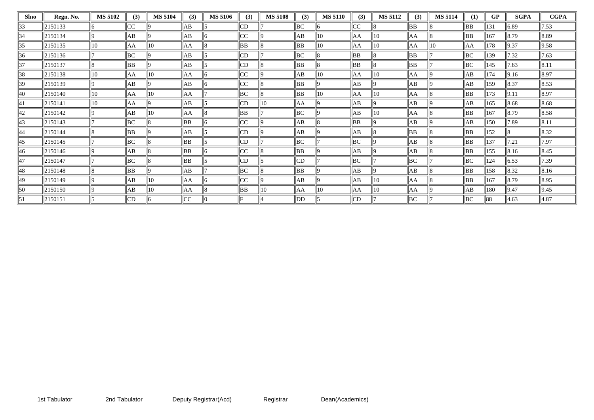| Slno | Regn. No. | <b>MS 5102</b> | (3) | <b>MS 5104</b> | (3)       | <b>MS 5106</b> | (3)       | <b>MS 5108</b> | (3)       | <b>MS 5110</b> | (3)       | <b>MS 5112</b> | (3)       | <b>MS 5114</b> | (1) | <b>GP</b> | <b>SGPA</b>        | <b>CGPA</b>    |
|------|-----------|----------------|-----|----------------|-----------|----------------|-----------|----------------|-----------|----------------|-----------|----------------|-----------|----------------|-----|-----------|--------------------|----------------|
| 33   | 2150133   |                | CC  |                | AB        |                | CD        |                | BC        |                | CC        |                | BB        |                | BB  | 131       | 6.89               | 7.53           |
| 34   | 2150134   |                | AB  |                | AB        |                | CC        |                | AB        | 10             | AA        | 10             | AA        |                | BB  | 167       | 8.79               | $ 8.89\rangle$ |
| 35   | 2150135   | 10             | AA  | 10             | AA        |                | BB        |                | BB        | 110            | AA        | 10             | AA        | 10             | AA  | 178       | $\vert$ 9.37       | 9.58           |
| 36   | 2150136   |                | BС  |                | AB        |                | CD        |                | BС        |                | <b>BB</b> |                | BB        |                | BC  | 139       | 7.32               | 7.63           |
| 37   | 2150137   |                | BB  |                | AB        |                | CD        |                | <b>BB</b> |                | <b>BB</b> |                | <b>BB</b> |                | BC  | 145       | 7.63               | 8.11           |
| 38   | 2150138   | $ 10\rangle$   | AA  | 10             | AA        |                | CC        |                | AB        | 10             | AA        | 10             | AA        |                | AB  | 174       | $\vert 9.16 \vert$ | 8.97           |
| 39   | 2150139   | ١Q             | AB  |                | AB        |                | CC        |                | BB        |                | АB        |                | AB        |                | AB  | 159       | 8.37               | 8.53           |
| 40   | 2150140   | $ 10\rangle$   | AA  | 10             | AA        |                | BС        |                | <b>BB</b> | 10             | AA        | 10             | AA        |                | BB  | 173       | 9.11               | 8.97           |
| 41   | 2150141   | $ 10\rangle$   | AA  |                | AB        |                | CD        | $ 10\rangle$   | AA        |                | AB        |                | AB        |                | AB  | 165       | $\ 8.68\ $         | 8.68           |
| 42   | 2150142   |                | AB  | 10             | AA        |                | BB        |                | BC        |                | AB        | 10             | AA        |                | BB  | 167       | 8.79               | 8.58           |
| 43   | 2150143   |                | BC  |                | <b>BB</b> |                | CC        |                | AB        |                | <b>BB</b> |                | АB        |                | AB  | 150       | 7.89               | 8.11           |
| 44   | 2150144   |                | BB  |                | AB        |                | <b>CD</b> |                | AB        |                | AB        |                | BB        |                | BB  | 152       |                    | 8.32           |
| 45   | 2150145   |                | BC  |                | <b>BB</b> |                | CD        |                | BC        |                | BC        |                | AB        |                | BB  | 137       | 7.21               | 7.97           |
| 46   | 2150146   | 19             | AB  |                | <b>BB</b> |                | CC        |                | BB        |                | AB        |                | AB        |                | BB  | 155       | $\ 8.16\ $         | 8.45           |
| 47   | 2150147   |                | BC  |                | <b>BB</b> |                | CD        |                | CD        |                | BC        |                | BC        |                | BC  | 124       | $\ 6.53$           | 7.39           |
| 48   | 2150148   |                | ΒB  |                | AB        |                | BС        |                | BB        |                | AB        |                | AB        |                | BB  | 158       | 8.32               | 8.16           |
| 49   | 2150149   |                | AB  | 10             | AA        |                | CC        |                | AB        |                | AB        | 10             | AA        |                | BB  | 167       | 8.79               | 8.95           |
| 50   | 2150150   |                | AB  | 10             | AA        |                | BB        | $ 10\rangle$   | AA        | 10             | AA        | 10             | AA        |                | AB  | 180       | 9.47               | 9.45           |
| 51   | 2150151   |                | CD  |                | CC        |                |           |                | DD        |                | CD        |                | BC        |                | BC  | 88        | 4.63               | 4.87           |